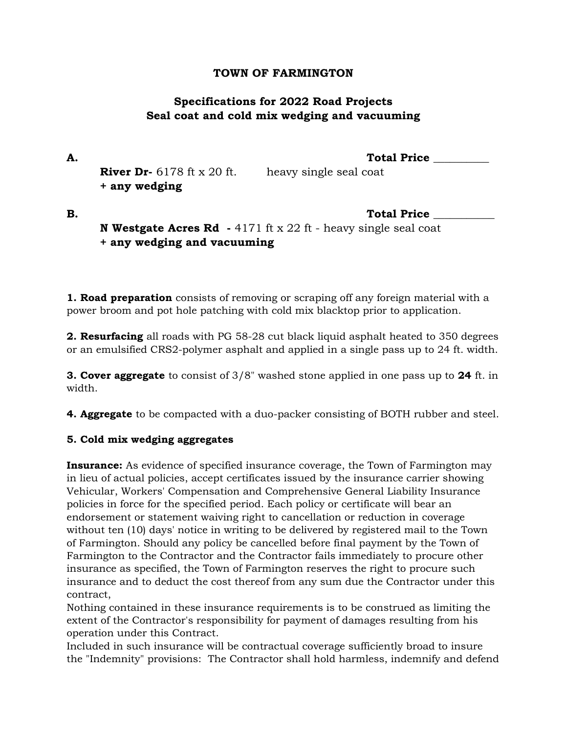### **TOWN OF FARMINGTON**

# **Specifications for 2022 Road Projects Seal coat and cold mix wedging and vacuuming**

**A. Total Price \_\_\_\_\_\_\_\_\_\_ River Dr-** 6178 ft x 20 ft. heavy single seal coat **+ any wedging** 

**B. Constanting the constanting of the constanting of the constanting of the constanting of the constanting of the constanting of the constanting of the constanting of the constanting of the constanting of the constantin N Westgate Acres Rd -** 4171 ft x 22 ft - heavy single seal coat **+ any wedging and vacuuming**

**1. Road preparation** consists of removing or scraping off any foreign material with a power broom and pot hole patching with cold mix blacktop prior to application.

**2. Resurfacing** all roads with PG 58-28 cut black liquid asphalt heated to 350 degrees or an emulsified CRS2-polymer asphalt and applied in a single pass up to 24 ft. width.

**3. Cover aggregate** to consist of 3/8" washed stone applied in one pass up to **24** ft. in width.

**4. Aggregate** to be compacted with a duo-packer consisting of BOTH rubber and steel.

### **5. Cold mix wedging aggregates**

**Insurance:** As evidence of specified insurance coverage, the Town of Farmington may in lieu of actual policies, accept certificates issued by the insurance carrier showing Vehicular, Workers' Compensation and Comprehensive General Liability Insurance policies in force for the specified period. Each policy or certificate will bear an endorsement or statement waiving right to cancellation or reduction in coverage without ten (10) days' notice in writing to be delivered by registered mail to the Town of Farmington. Should any policy be cancelled before final payment by the Town of Farmington to the Contractor and the Contractor fails immediately to procure other insurance as specified, the Town of Farmington reserves the right to procure such insurance and to deduct the cost thereof from any sum due the Contractor under this contract,

Nothing contained in these insurance requirements is to be construed as limiting the extent of the Contractor's responsibility for payment of damages resulting from his operation under this Contract.

Included in such insurance will be contractual coverage sufficiently broad to insure the "Indemnity" provisions: The Contractor shall hold harmless, indemnify and defend